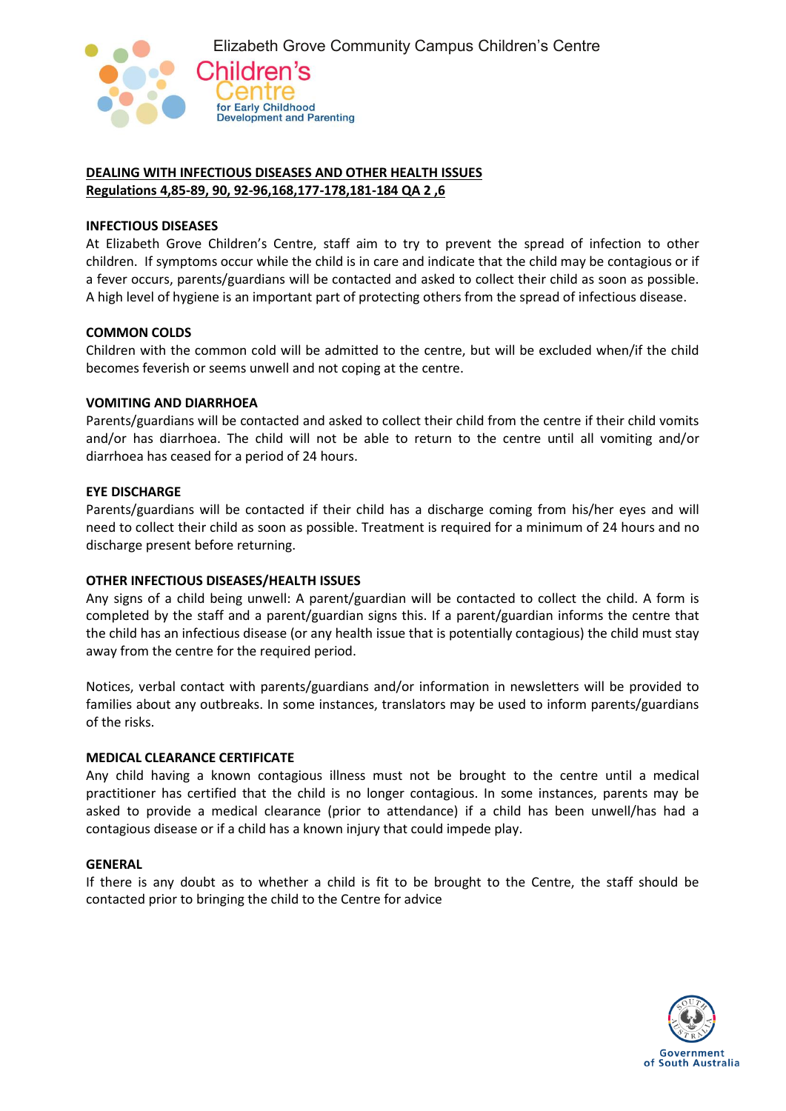

## **DEALING WITH INFECTIOUS DISEASES AND OTHER HEALTH ISSUES Regulations 4,85-89, 90, 92-96,168,177-178,181-184 QA 2 ,6**

### **INFECTIOUS DISEASES**

At Elizabeth Grove Children's Centre, staff aim to try to prevent the spread of infection to other children. If symptoms occur while the child is in care and indicate that the child may be contagious or if a fever occurs, parents/guardians will be contacted and asked to collect their child as soon as possible. A high level of hygiene is an important part of protecting others from the spread of infectious disease.

### **COMMON COLDS**

Children with the common cold will be admitted to the centre, but will be excluded when/if the child becomes feverish or seems unwell and not coping at the centre.

### **VOMITING AND DIARRHOEA**

Parents/guardians will be contacted and asked to collect their child from the centre if their child vomits and/or has diarrhoea. The child will not be able to return to the centre until all vomiting and/or diarrhoea has ceased for a period of 24 hours.

## **EYE DISCHARGE**

Parents/guardians will be contacted if their child has a discharge coming from his/her eyes and will need to collect their child as soon as possible. Treatment is required for a minimum of 24 hours and no discharge present before returning.

### **OTHER INFECTIOUS DISEASES/HEALTH ISSUES**

Any signs of a child being unwell: A parent/guardian will be contacted to collect the child. A form is completed by the staff and a parent/guardian signs this. If a parent/guardian informs the centre that the child has an infectious disease (or any health issue that is potentially contagious) the child must stay away from the centre for the required period.

Notices, verbal contact with parents/guardians and/or information in newsletters will be provided to families about any outbreaks. In some instances, translators may be used to inform parents/guardians of the risks.

### **MEDICAL CLEARANCE CERTIFICATE**

Any child having a known contagious illness must not be brought to the centre until a medical practitioner has certified that the child is no longer contagious. In some instances, parents may be asked to provide a medical clearance (prior to attendance) if a child has been unwell/has had a contagious disease or if a child has a known injury that could impede play.

### **GENERAL**

If there is any doubt as to whether a child is fit to be brought to the Centre, the staff should be contacted prior to bringing the child to the Centre for advice